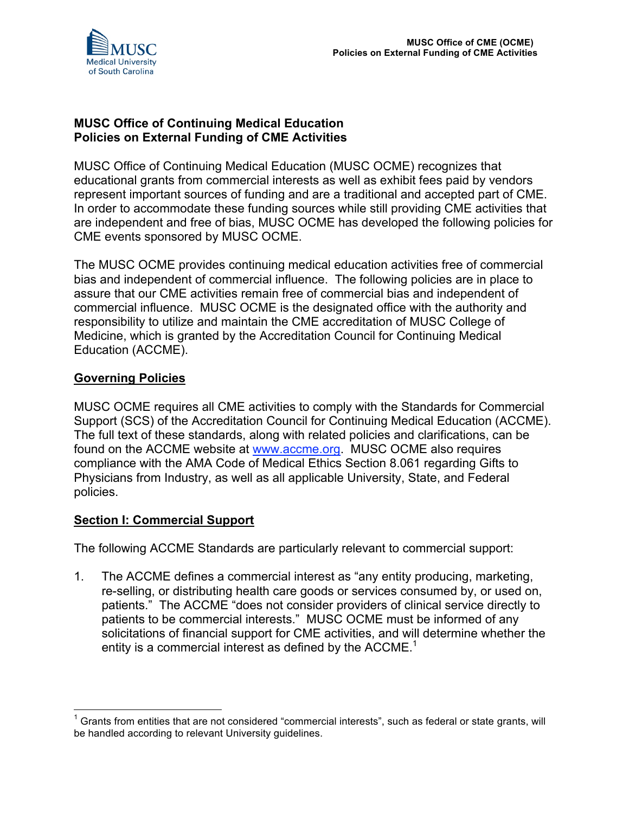

### **MUSC Office of Continuing Medical Education Policies on External Funding of CME Activities**

MUSC Office of Continuing Medical Education (MUSC OCME) recognizes that educational grants from commercial interests as well as exhibit fees paid by vendors represent important sources of funding and are a traditional and accepted part of CME. In order to accommodate these funding sources while still providing CME activities that are independent and free of bias, MUSC OCME has developed the following policies for CME events sponsored by MUSC OCME.

The MUSC OCME provides continuing medical education activities free of commercial bias and independent of commercial influence. The following policies are in place to assure that our CME activities remain free of commercial bias and independent of commercial influence. MUSC OCME is the designated office with the authority and responsibility to utilize and maintain the CME accreditation of MUSC College of Medicine, which is granted by the Accreditation Council for Continuing Medical Education (ACCME).

### **Governing Policies**

MUSC OCME requires all CME activities to comply with the Standards for Commercial Support (SCS) of the Accreditation Council for Continuing Medical Education (ACCME). The full text of these standards, along with related policies and clarifications, can be found on the ACCME website at www.accme.org. MUSC OCME also requires compliance with the AMA Code of Medical Ethics Section 8.061 regarding Gifts to Physicians from Industry, as well as all applicable University, State, and Federal policies.

#### **Section I: Commercial Support**

The following ACCME Standards are particularly relevant to commercial support:

1. The ACCME defines a commercial interest as "any entity producing, marketing, re-selling, or distributing health care goods or services consumed by, or used on, patients." The ACCME "does not consider providers of clinical service directly to patients to be commercial interests." MUSC OCME must be informed of any solicitations of financial support for CME activities, and will determine whether the entity is a commercial interest as defined by the ACCME.<sup>1</sup>

 $1$  Grants from entities that are not considered "commercial interests", such as federal or state grants, will be handled according to relevant University guidelines.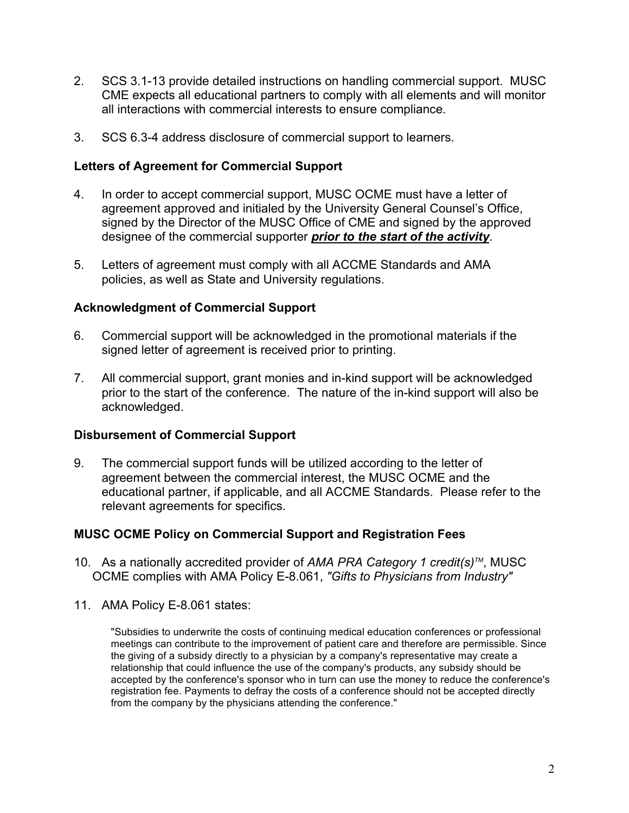- 2. SCS 3.1-13 provide detailed instructions on handling commercial support. MUSC CME expects all educational partners to comply with all elements and will monitor all interactions with commercial interests to ensure compliance.
- 3. SCS 6.3-4 address disclosure of commercial support to learners.

### **Letters of Agreement for Commercial Support**

- 4. In order to accept commercial support, MUSC OCME must have a letter of agreement approved and initialed by the University General Counsel's Office, signed by the Director of the MUSC Office of CME and signed by the approved designee of the commercial supporter *prior to the start of the activity*.
- 5. Letters of agreement must comply with all ACCME Standards and AMA policies, as well as State and University regulations.

#### **Acknowledgment of Commercial Support**

- 6. Commercial support will be acknowledged in the promotional materials if the signed letter of agreement is received prior to printing.
- 7. All commercial support, grant monies and in-kind support will be acknowledged prior to the start of the conference. The nature of the in-kind support will also be acknowledged.

#### **Disbursement of Commercial Support**

9. The commercial support funds will be utilized according to the letter of agreement between the commercial interest, the MUSC OCME and the educational partner, if applicable, and all ACCME Standards. Please refer to the relevant agreements for specifics.

# **MUSC OCME Policy on Commercial Support and Registration Fees**

- 10. As a nationally accredited provider of *AMA PRA Category 1 credit(s)TM*, MUSC OCME complies with AMA Policy E-8.061, *"Gifts to Physicians from Industry"*
- 11. AMA Policy E-8.061 states:

"Subsidies to underwrite the costs of continuing medical education conferences or professional meetings can contribute to the improvement of patient care and therefore are permissible. Since the giving of a subsidy directly to a physician by a company's representative may create a relationship that could influence the use of the company's products, any subsidy should be accepted by the conference's sponsor who in turn can use the money to reduce the conference's registration fee. Payments to defray the costs of a conference should not be accepted directly from the company by the physicians attending the conference."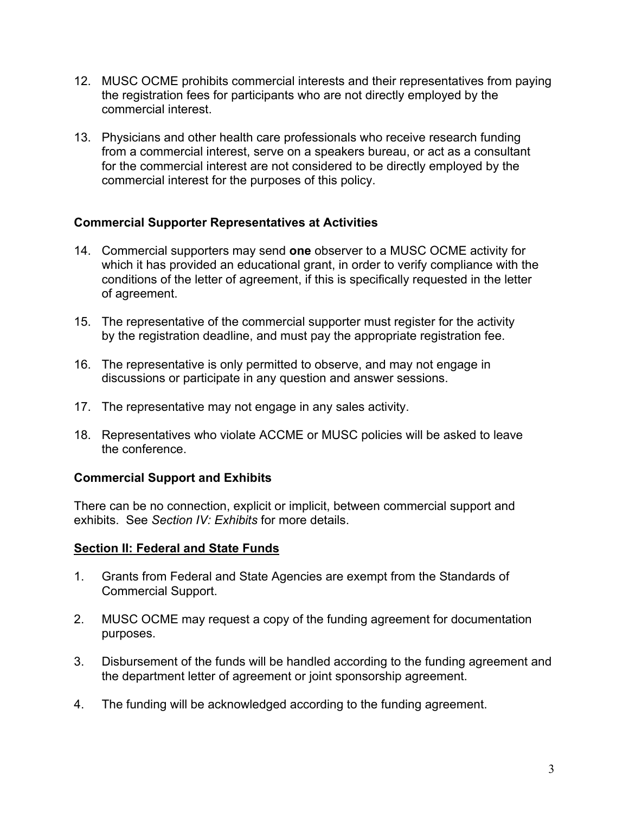- 12. MUSC OCME prohibits commercial interests and their representatives from paying the registration fees for participants who are not directly employed by the commercial interest.
- 13. Physicians and other health care professionals who receive research funding from a commercial interest, serve on a speakers bureau, or act as a consultant for the commercial interest are not considered to be directly employed by the commercial interest for the purposes of this policy.

### **Commercial Supporter Representatives at Activities**

- 14. Commercial supporters may send **one** observer to a MUSC OCME activity for which it has provided an educational grant, in order to verify compliance with the conditions of the letter of agreement, if this is specifically requested in the letter of agreement.
- 15. The representative of the commercial supporter must register for the activity by the registration deadline, and must pay the appropriate registration fee.
- 16. The representative is only permitted to observe, and may not engage in discussions or participate in any question and answer sessions.
- 17. The representative may not engage in any sales activity.
- 18. Representatives who violate ACCME or MUSC policies will be asked to leave the conference.

#### **Commercial Support and Exhibits**

There can be no connection, explicit or implicit, between commercial support and exhibits. See *Section IV: Exhibits* for more details.

#### **Section II: Federal and State Funds**

- 1. Grants from Federal and State Agencies are exempt from the Standards of Commercial Support.
- 2. MUSC OCME may request a copy of the funding agreement for documentation purposes.
- 3. Disbursement of the funds will be handled according to the funding agreement and the department letter of agreement or joint sponsorship agreement.
- 4. The funding will be acknowledged according to the funding agreement.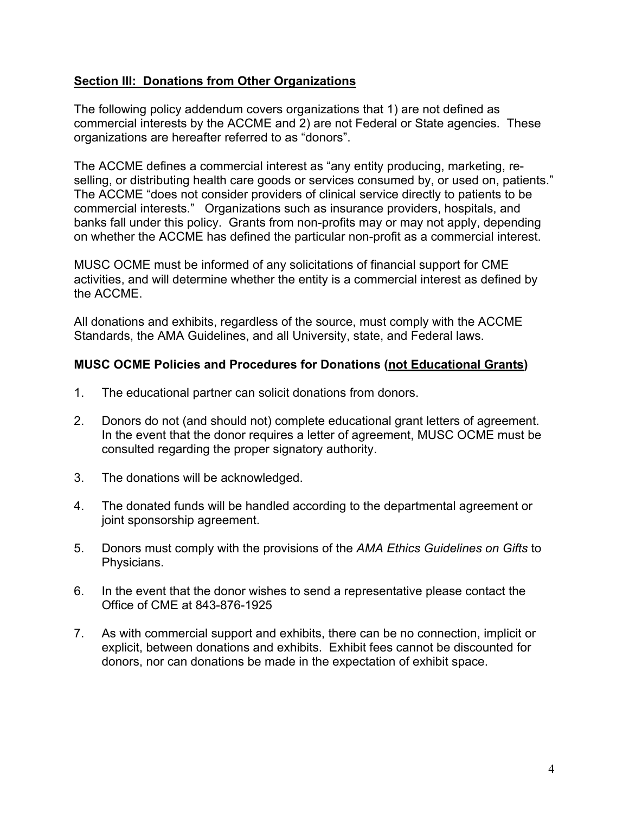### **Section III: Donations from Other Organizations**

The following policy addendum covers organizations that 1) are not defined as commercial interests by the ACCME and 2) are not Federal or State agencies. These organizations are hereafter referred to as "donors".

The ACCME defines a commercial interest as "any entity producing, marketing, reselling, or distributing health care goods or services consumed by, or used on, patients." The ACCME "does not consider providers of clinical service directly to patients to be commercial interests." Organizations such as insurance providers, hospitals, and banks fall under this policy. Grants from non-profits may or may not apply, depending on whether the ACCME has defined the particular non-profit as a commercial interest.

MUSC OCME must be informed of any solicitations of financial support for CME activities, and will determine whether the entity is a commercial interest as defined by the ACCME.

All donations and exhibits, regardless of the source, must comply with the ACCME Standards, the AMA Guidelines, and all University, state, and Federal laws.

### **MUSC OCME Policies and Procedures for Donations (not Educational Grants)**

- 1. The educational partner can solicit donations from donors.
- 2. Donors do not (and should not) complete educational grant letters of agreement. In the event that the donor requires a letter of agreement, MUSC OCME must be consulted regarding the proper signatory authority.
- 3. The donations will be acknowledged.
- 4. The donated funds will be handled according to the departmental agreement or joint sponsorship agreement.
- 5. Donors must comply with the provisions of the *AMA Ethics Guidelines on Gifts* to Physicians.
- 6. In the event that the donor wishes to send a representative please contact the Office of CME at 843-876-1925
- 7. As with commercial support and exhibits, there can be no connection, implicit or explicit, between donations and exhibits. Exhibit fees cannot be discounted for donors, nor can donations be made in the expectation of exhibit space.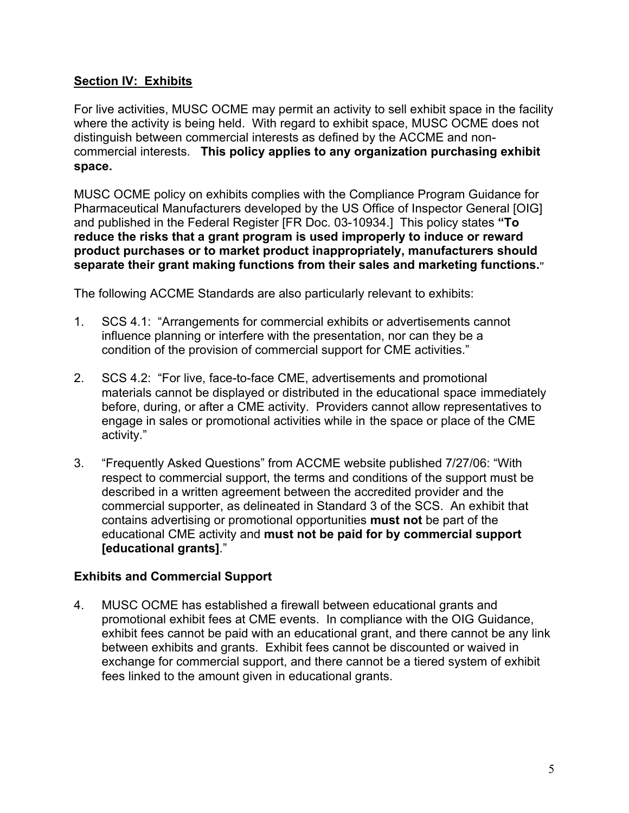# **Section IV: Exhibits**

For live activities, MUSC OCME may permit an activity to sell exhibit space in the facility where the activity is being held. With regard to exhibit space, MUSC OCME does not distinguish between commercial interests as defined by the ACCME and noncommercial interests. **This policy applies to any organization purchasing exhibit space.**

MUSC OCME policy on exhibits complies with the Compliance Program Guidance for Pharmaceutical Manufacturers developed by the US Office of Inspector General [OIG] and published in the Federal Register [FR Doc. 03-10934.] This policy states **"To reduce the risks that a grant program is used improperly to induce or reward product purchases or to market product inappropriately, manufacturers should separate their grant making functions from their sales and marketing functions."**

The following ACCME Standards are also particularly relevant to exhibits:

- 1. SCS 4.1: "Arrangements for commercial exhibits or advertisements cannot influence planning or interfere with the presentation, nor can they be a condition of the provision of commercial support for CME activities."
- 2. SCS 4.2: "For live, face-to-face CME, advertisements and promotional materials cannot be displayed or distributed in the educational space immediately before, during, or after a CME activity. Providers cannot allow representatives to engage in sales or promotional activities while in the space or place of the CME activity."
- 3. "Frequently Asked Questions" from ACCME website published 7/27/06: "With respect to commercial support, the terms and conditions of the support must be described in a written agreement between the accredited provider and the commercial supporter, as delineated in Standard 3 of the SCS. An exhibit that contains advertising or promotional opportunities **must not** be part of the educational CME activity and **must not be paid for by commercial support [educational grants]**."

#### **Exhibits and Commercial Support**

4. MUSC OCME has established a firewall between educational grants and promotional exhibit fees at CME events. In compliance with the OIG Guidance, exhibit fees cannot be paid with an educational grant, and there cannot be any link between exhibits and grants. Exhibit fees cannot be discounted or waived in exchange for commercial support, and there cannot be a tiered system of exhibit fees linked to the amount given in educational grants.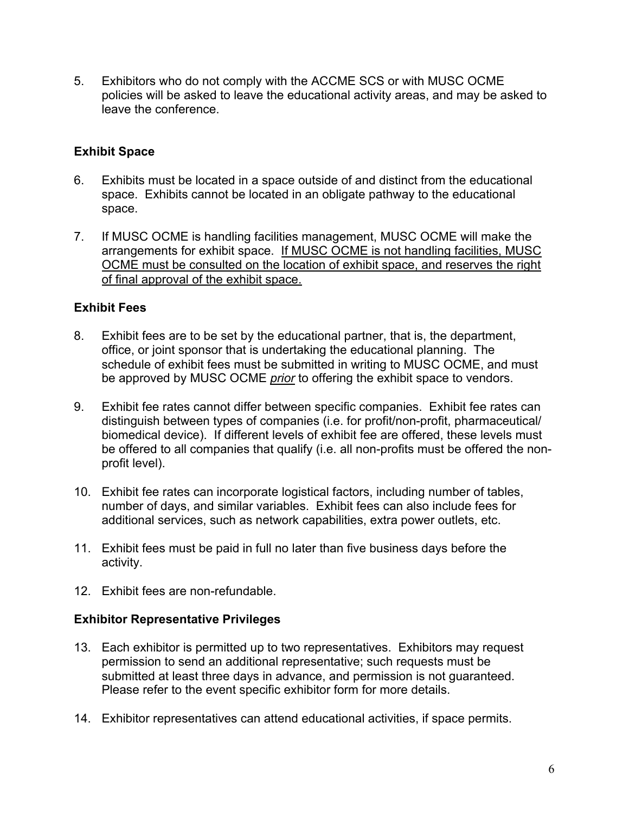5. Exhibitors who do not comply with the ACCME SCS or with MUSC OCME policies will be asked to leave the educational activity areas, and may be asked to leave the conference.

# **Exhibit Space**

- 6. Exhibits must be located in a space outside of and distinct from the educational space. Exhibits cannot be located in an obligate pathway to the educational space.
- 7. If MUSC OCME is handling facilities management, MUSC OCME will make the arrangements for exhibit space. If MUSC OCME is not handling facilities, MUSC OCME must be consulted on the location of exhibit space, and reserves the right of final approval of the exhibit space.

# **Exhibit Fees**

- 8. Exhibit fees are to be set by the educational partner, that is, the department, office, or joint sponsor that is undertaking the educational planning. The schedule of exhibit fees must be submitted in writing to MUSC OCME, and must be approved by MUSC OCME *prior* to offering the exhibit space to vendors.
- 9. Exhibit fee rates cannot differ between specific companies. Exhibit fee rates can distinguish between types of companies (i.e. for profit/non-profit, pharmaceutical/ biomedical device). If different levels of exhibit fee are offered, these levels must be offered to all companies that qualify (i.e. all non-profits must be offered the nonprofit level).
- 10. Exhibit fee rates can incorporate logistical factors, including number of tables, number of days, and similar variables. Exhibit fees can also include fees for additional services, such as network capabilities, extra power outlets, etc.
- 11. Exhibit fees must be paid in full no later than five business days before the activity.
- 12. Exhibit fees are non-refundable.

# **Exhibitor Representative Privileges**

- 13. Each exhibitor is permitted up to two representatives. Exhibitors may request permission to send an additional representative; such requests must be submitted at least three days in advance, and permission is not guaranteed. Please refer to the event specific exhibitor form for more details.
- 14. Exhibitor representatives can attend educational activities, if space permits.